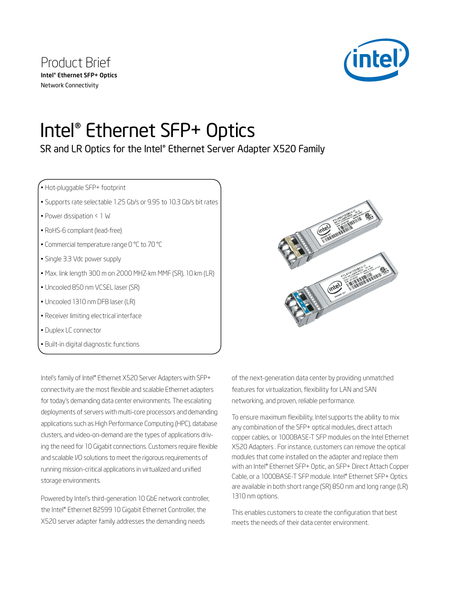

# Intel® Ethernet SFP+ Optics

## SR and LR Optics for the Intel® Ethernet Server Adapter X520 Family

• Hot-pluggable SFP+ footprint

- Supports rate selectable 1.25 Gb/s or 9.95 to 10.3 Gb/s bit rates
- Power dissipation < 1 W
- RoHS-6 compliant (lead-free)
- Commercial temperature range 0 °C to 70 °C
- Single 3.3 Vdc power supply
- Max. link length 300 m on 2000 MHZ-km MMF (SR), 10 km (LR)
- Uncooled 850 nm VCSEL laser (SR)
- Uncooled 1310 nm DFB laser (LR)
- Receiver limiting electrical interface
- Duplex LC connector
- Built-in digital diagnostic functions

Intel's family of Intel® Ethernet X520 Server Adapters with SFP+ connectivity are the most flexible and scalable Ethernet adapters for today's demanding data center environments. The escalating deployments of servers with multi-core processors and demanding applications such as High Performance Computing (HPC), database clusters, and video-on-demand are the types of applications driving the need for 10 Gigabit connections. Customers require flexible and scalable I/O solutions to meet the rigorous requirements of running mission-critical applications in virtualized and unified storage environments.

Powered by Intel's third-generation 10 GbE network controller, the Intel® Ethernet 82599 10 Gigabit Ethernet Controller, the X520 server adapter family addresses the demanding needs



of the next-generation data center by providing unmatched features for virtualization, flexibility for LAN and SAN networking, and proven, reliable performance.

To ensure maximum flexibility, Intel supports the ability to mix any combination of the SFP+ optical modules, direct attach copper cables, or 1000BASE-T SFP modules on the Intel Ethernet X520 Adapters . For instance, customers can remove the optical modules that come installed on the adapter and replace them with an Intel® Ethernet SFP+ Optic, an SFP+ Direct Attach Copper Cable, or a 1000BASE-T SFP module. Intel® Ethernet SFP+ Optics are available in both short range (SR) 850 nm and long range (LR) 1310 nm options.

This enables customers to create the configuration that best meets the needs of their data center environment.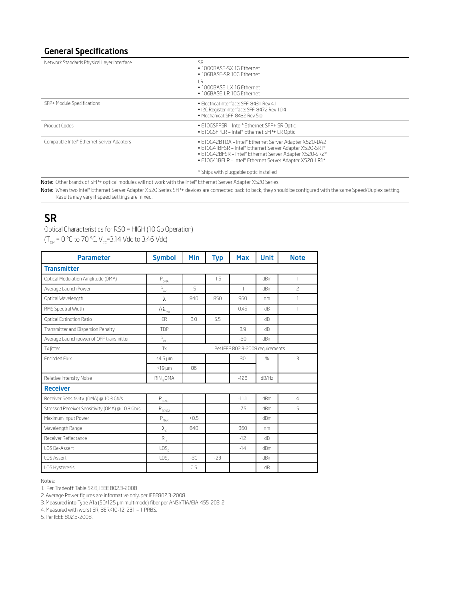#### General Specifications

| Network Standards Physical Layer Interface | SR<br>• 1000BASE-SX 1G Ethernet<br>• 10GBASE-SR 10G Ethernet<br>ΙR<br>• 1000BASE-LX 1G Ethernet<br>• 10GBASE-LR 10G Ethernet                                                                                                            |
|--------------------------------------------|-----------------------------------------------------------------------------------------------------------------------------------------------------------------------------------------------------------------------------------------|
| SFP+ Module Specifications                 | · Electrical interface: SEE-8431 Rev 4.1<br>• I2C Register interface: SFF-8472 Rev 10.4<br>· Mechanical: SFF-8432 Rev 5.0                                                                                                               |
| Product Codes                              | . E10GSFPSR - Intel® Ethernet SFP+ SR Optic<br>• E10GSFPLR - Intel® Ethernet SFP+ LR Optic                                                                                                                                              |
| Compatible Intel® Ethernet Server Adapters | . E10G42BTDA - Intel* Ethernet Server Adapter X520-DA2<br>. E10G41BFSR - Intel® Ethernet Server Adapter X520-SR1*<br>. E10G42BFSR - Intel® Ethernet Server Adapter X520-SR2*<br>. E10G41BFLR - Intel® Ethernet Server Adapter X520-LR1* |
|                                            | * Ships with pluggable optic installed                                                                                                                                                                                                  |

Note: Other brands of SFP+ optical modules will not work with the Intel® Ethernet Server Adapter X520 Series.

Note: When two Intel® Ethernet Server Adapter X520 Series SFP+ devices are connected back to back, they should be configured with the same Speed/Duplex setting. Results may vary if speed settings are mixed.

### SR

Optical Characteristics for RS0 = HIGH (10 Gb Operation)

 $(T_{OP} = 0 \degree C$  to 70  $\degree C$ ,  $V_{CC} = 3.14$  Vdc to 3.46 Vdc)

| <b>Parameter</b>                                | <b>Symbol</b>                          | Min    | <b>Typ</b> | <b>Max</b>                       | <b>Unit</b> | <b>Note</b>              |
|-------------------------------------------------|----------------------------------------|--------|------------|----------------------------------|-------------|--------------------------|
| <b>Transmitter</b>                              |                                        |        |            |                                  |             |                          |
| Optical Modulation Amplitude (OMA)              | $\mathsf{P}_{\underbar{\mathrm{OMA}}}$ |        | $-1.5$     |                                  | dBm         | 1                        |
| Average Launch Power                            | $\mathsf{P}_{\text{AVE}}$              | $-5$   |            | $-1$                             | dBm         | $\overline{\phantom{a}}$ |
| Optical Wavelength                              | λ                                      | 840    | 850        | 860                              | nm          | 1                        |
| RMS Spectral Width                              | $\Delta\lambda_{\rm rms}$              |        |            | 0.45                             | dB          | 1                        |
| <b>Optical Extinction Ratio</b>                 | FR.                                    | 3.0    | 5.5        |                                  | dB          |                          |
| Transmitter and Dispersion Penalty              | <b>TDP</b>                             |        |            | 3.9                              | dB.         |                          |
| Average Launch power of OFF transmitter         | $P_{OFF}$                              |        |            | $-30$                            | dBm         |                          |
| Tx litter                                       | Tx                                     |        |            | Per IEEE 802.3-2008 requirements |             |                          |
| <b>Encircled Flux</b>                           | <4.5 µm                                |        |            | 30 <sup>2</sup>                  | %           | $\overline{3}$           |
|                                                 | $<$ 19 $\mu$ m                         | 86     |            |                                  |             |                          |
| Relative Intensity Noise                        | $RIN_{12}OMA$                          |        |            | $-128$                           | dB/Hz       |                          |
| <b>Receiver</b>                                 |                                        |        |            |                                  |             |                          |
| Receiver Sensitivity (OMA) @ 10.3 Gb/s          | $\mathsf{R}_{\mathsf{SENSI}}$          |        |            | $-11.1$                          | dBm         | 4                        |
| Stressed Receiver Sensitivity (OMA) @ 10.3 Gb/s | $\mathsf{R}_{\mathsf{SENS2}}$          |        |            | $-7.5$                           | dBm         | 5                        |
| Maximum Input Power                             | $P_{MAX}$                              | $+0.5$ |            |                                  | dBm         |                          |
| Wavelength Range                                | $\lambda_c$                            | 840    |            | 860                              | nm          |                          |
| Receiver Reflectance                            | $R_{\alpha}$                           |        |            | $-12$                            | dB          |                          |
| LOS De-Assert                                   | LOS <sub>n</sub>                       |        |            | $-14$                            | dBm         |                          |
| LOS Assert                                      | LOS <sub>A</sub>                       | $-30$  | $-23$      |                                  | dBm         |                          |
| LOS Hysteresis                                  |                                        | 0.5    |            |                                  | dB          |                          |

Notes:

1. Per Tradeoff Table 52.8, IEEE 802.3-2008

2. Average Power figures are informative only, per IEEE802.3-2008.

3. Measured into Type A1a (50/125 μm multimode) fiber per ANSI/TIA/EIA-455-203-2.

4. Measured with worst ER; BER<10-12; 231 – 1 PRBS.

5. Per IEEE 802.3-2008.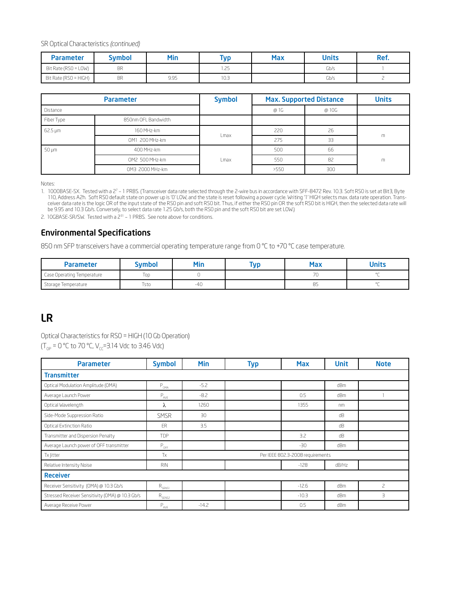SR Optical Characteristics *(continued)*

| <b>Parameter</b>      | <b>Symbol</b> | Min  | <b>Typ</b>     | <b>Max</b> | <b>Units</b> | Ref. |
|-----------------------|---------------|------|----------------|------------|--------------|------|
| Bit Rate (RSO = LOW)  | <b>BR</b>     |      | つに<br>ت سا ، ا |            | Gb/s         |      |
| Bit Rate (RSO = HIGH) | <b>BR</b>     | 9.95 | 10.3           |            | Gb/s         |      |

| <b>Parameter</b> |                     | <b>Symbol</b> | <b>Max. Supported Distance</b> |       | <b>Units</b> |
|------------------|---------------------|---------------|--------------------------------|-------|--------------|
| Distance         |                     |               | @ 1G                           | @ 10G |              |
| Fiber Type       | 850nm OFL Bandwidth |               |                                |       |              |
| 62.5 µm          | 160 MHz-km          | Lmax          | 220                            | 26    |              |
|                  | OM1 200 MHz-km      |               | 275                            | 33    | m            |
| 50 µm            | 400 MHz-km          |               | 500                            | 66    |              |
|                  | OM2 500 MHz-km      | Lmax          | 550                            | 82    | m            |
|                  | OM3 2000 MHz-km     |               | >550                           | 300   |              |

Notes:

1. 1000BASE-SX. Tested with a 2<sup>7</sup> – 1 PRBS. (Transceiver data rate selected through the 2-wire bus in accordance with SFF-8472 Rev. 10.3. Soft RS0 is set at Bit3, Byte 110, Address A2h. Soft RS0 default state on power up is '0' LOW, and the state is reset following a power cycle. Writing '1' HIGH selects max. data rate operation. Transceiver data rate is the logic OR of the input state of the RS0 pin and soft RS0 bit. Thus, if either the RS0 pin OR the soft RS0 bit is HIGH, then the selected data rate will be 9.95 and 10.3 Gb/s. Conversely, to select data rate 1.25 Gb/s, both the RS0 pin and the soft RS0 bit are set LOW.)

2. 10GBASE-SR/SW. Tested with a 2<sup>31</sup> – 1 PRBS. See note above for conditions.

#### Environmental Specifications

850 nm SFP transceivers have a commercial operating temperature range from 0 °C to +70 °C case temperature.

| <b>Parameter</b>           | ivmbol | Min   | TVD | Max | <b>Units</b> |
|----------------------------|--------|-------|-----|-----|--------------|
| Case Operating Temperature | loo    |       |     |     |              |
| Storage Temperature        | Tsto   | $-40$ |     | 85  |              |

## LR

Optical Characteristics for RS0 = HIGH (10 Gb Operation)  $(T_{\text{OP}} = 0 \degree C$  to 70 °C,  $V_{\text{CP}} = 3.14$  Vdc to 3.46 Vdc)

| <b>Parameter</b>                                | <b>Symbol</b>      | Min             | <b>Typ</b> | <b>Max</b>                       | Unit  | <b>Note</b> |
|-------------------------------------------------|--------------------|-----------------|------------|----------------------------------|-------|-------------|
| <b>Transmitter</b>                              |                    |                 |            |                                  |       |             |
| Optical Modulation Amplitude (OMA)              | $P_{OMA}$          | $-5.2$          |            |                                  | dBm   |             |
| Average Launch Power                            | $P_{AVE}$          | $-8.2$          |            | 0.5                              | dBm   |             |
| Optical Wavelength                              | λ                  | 1260            |            | 1355                             | nm    |             |
| Side-Mode Suppression Ratio                     | <b>SMSR</b>        | 30 <sup>2</sup> |            |                                  | dB    |             |
| Optical Extinction Ratio                        | <b>FR</b>          | 3.5             |            |                                  | dB    |             |
| Transmitter and Dispersion Penalty              | TDP                |                 |            | 3.2                              | dB    |             |
| Average Launch power of OFF transmitter         | $P_{OFF}$          |                 |            | $-30$                            | dBm   |             |
| Tx Jitter                                       | Tx                 |                 |            | Per IEEE 802.3-2008 requirements |       |             |
| Relative Intensity Noise                        | <b>RIN</b>         |                 |            | $-128$                           | dB/Hz |             |
| <b>Receiver</b>                                 |                    |                 |            |                                  |       |             |
| Receiver Sensitivity (OMA) @ 10.3 Gb/s          | $R_{SENS1}$        |                 |            | $-12.6$                          | dBm   | 2           |
| Stressed Receiver Sensitivity (OMA) @ 10.3 Gb/s | $R_{\text{SENS2}}$ |                 |            | $-10.3$                          | dBm   | З           |
| Average Receive Power                           | $P_{AVE}$          | $-14.2$         |            | 0.5                              | dBm   |             |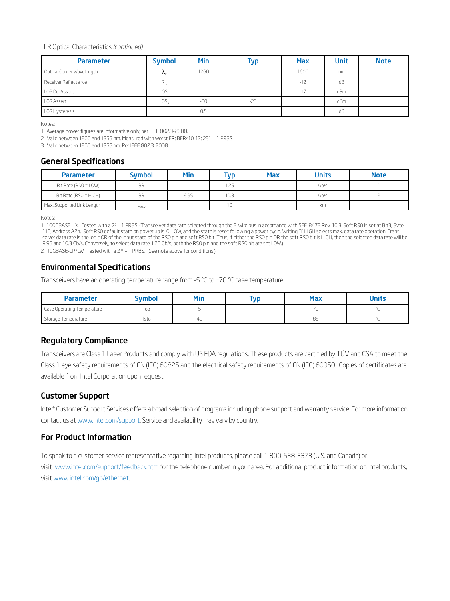#### LR Optical Characteristics *(continued)*

| <b>Parameter</b>          | <b>Symbol</b>               | <b>Min</b> | Тур   | <b>Max</b> | <b>Unit</b> | <b>Note</b> |
|---------------------------|-----------------------------|------------|-------|------------|-------------|-------------|
| Optical Center Wavelength | $\mathcal{L}_{\mathcal{L}}$ | 1260       |       | 1600       | nm          |             |
| Receiver Reflectance      | $R_{\alpha}$                |            |       | $-12$      | dB          |             |
| LOS De-Assert             | LOS,                        |            |       | $-17$      | dBm         |             |
| <b>LOS Assert</b>         | LOS                         | $-30$      | $-23$ |            | dBm         |             |
| LOS Hysteresis            |                             | 0.5        |       |            | dB          |             |

Notes:

1. Average power figures are informative only, per IEEE 802.3-2008.

2. Valid between 1260 and 1355 nm. Measured with worst ER; BER<10-12; 231 – 1 PRBS.

3. Valid between 1260 and 1355 nm. Per IEEE 802.3-2008.

#### General Specifications

| <b>Parameter</b>           | <b>Symbol</b> | Min  | Typ  | <b>Max</b> | <b>Units</b> | <b>Note</b> |
|----------------------------|---------------|------|------|------------|--------------|-------------|
| Bit Rate (RSO = LOW)       | <b>BR</b>     |      | 1.25 |            | Gb/s         |             |
| Bit Rate (RSO = HIGH)      | <b>BR</b>     | 9.95 | 10.3 |            | Gb/s         |             |
| Max. Supported Link Length | <b>HAX</b>    |      | 10   |            | km           |             |

Notes:

1. 1000BASE-LX. Tested with a 27 – 1 PRBS. (Transceiver data rate selected through the 2-wire bus in accordance with SFF-8472 Rev. 10.3. Soft RS0 is set at Bit3, Byte 110, Address A2h. Soft RS0 default state on power up is '0' LOW, and the state is reset following a power cycle. Writing '1' HIGH selects max. data rate operation. Transceiver data rate is the logic OR of the input state of the RS0 pin and soft RS0 bit. Thus, if either the RS0 pin OR the soft RS0 bit is HIGH, then the selected data rate will be 9.95 and 10.3 Gb/s. Conversely, to select data rate 1.25 Gb/s, both the RS0 pin and the soft RS0 bit are set LOW.)

2. 10GBASE-LR/LW. Tested with a 2<sup>31</sup> - 1 PRBS. (See note above for conditions.)

#### Environmental Specifications

Transceivers have an operating temperature range from -5 °C to +70 °C case temperature.

| <b>Parameter</b>           | ™bol | Min | Max | <b>Units</b> |
|----------------------------|------|-----|-----|--------------|
| Case Operating Temperature | loc  |     |     | $\sim$       |
| Storage Temperature        | Tsto | -40 | ซว  | $\sim$       |

#### Regulatory Compliance

Transceivers are Class 1 Laser Products and comply with US FDA regulations. These products are certified by TÜV and CSA to meet the Class 1 eye safety requirements of EN (IEC) 60825 and the electrical safety requirements of EN (IEC) 60950. Copies of certificates are available from Intel Corporation upon request.

#### Customer Support

Intel® Customer Support Services offers a broad selection of programs including phone support and warranty service. For more information, contact us at www.intel.com/support. Service and availability may vary by country.

#### For Product Information

To speak to a customer service representative regarding Intel products, please call 1-800-538-3373 (U.S. and Canada) or visit www.intel.com/support/feedback.htm for the telephone number in your area. For additional product information on Intel products, visit www.intel.com/go/ethernet.